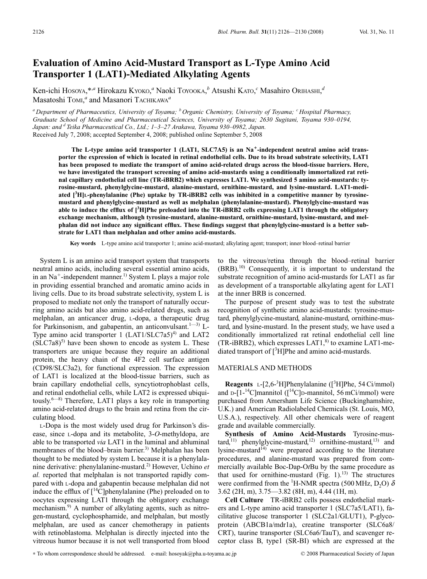# **Evaluation of Amino Acid-Mustard Transport as L-Type Amino Acid Transporter 1 (LAT1)-Mediated Alkylating Agents**

Ken-ichi Hosoya,\*<sup>,a</sup> Hirokazu Kyoкo,<sup>a</sup> Naoki Тоуоока,<sup>b</sup> Atsushi Kато,<sup>с</sup> Masahiro Окінаѕні,<sup>а</sup> Masatoshi TOMI, *<sup>a</sup>* and Masanori TACHIKAWA*<sup>a</sup>*

*<sup>a</sup> Department of Pharmaceutics, University of Toyama; <sup>b</sup> Organic Chemistry, University of Toyama; <sup>c</sup> Hospital Pharmacy, Graduate School of Medicine and Pharmaceutical Sciences, University of Toyama; 2630 Sugitani, Toyama 930–0194, Japan: and d Teika Pharmaceutical Co., Ltd.; 1–3–27 Arakawa, Toyama 930–0982, Japan.* Received July 7, 2008; accepted September 4, 2008; published online September 5, 2008

**The L-type amino acid transporter 1 (LAT1, SLC7A5) is an Na-independent neutral amino acid transporter the expression of which is located in retinal endothelial cells. Due to its broad substrate selectivity, LAT1 has been proposed to mediate the transport of amino acid-related drugs across the blood-tissue barriers. Here, we have investigated the transport screening of amino acid-mustards using a conditionally immortalized rat retinal capillary endothelial cell line (TR-iBRB2) which expresses LAT1. We synthesized 5 amino acid-mustards: tyrosine-mustard, phenylglycine-mustard, alanine-mustard, ornithine-mustard, and lysine-mustard. LAT1-mediated [3 H]L-phenylalanine (Phe) uptake by TR-iBRB2 cells was inhibited in a competitive manner by tyrosinemustard and phenylglycine-mustard as well as melphalan (phenylalanine-mustard). Phenylglycine-mustard was able to induce the efflux of [3 H]Phe preloaded into the TR-iBRB2 cells expressing LAT1 through the obligatory exchange mechanism, although tyrosine-mustard, alanine-mustard, ornithine-mustard, lysine-mustard, and melphalan did not induce any significant efflux. These findings suggest that phenylglycine-mustard is a better substrate for LAT1 than melphalan and other amino acid-mustards.**

**Key words** L-type amino acid transporter 1; amino acid-mustard; alkylating agent; transport; inner blood–retinal barrier

System L is an amino acid transport system that transports neutral amino acids, including several essential amino acids, in an  $Na^+$ -independent manner.<sup>1)</sup> System L plays a major role in providing essential branched and aromatic amino acids in living cells. Due to its broad substrate selectivity, system L is proposed to mediate not only the transport of naturally occurring amino acids but also amino acid-related drugs, such as melphalan, an anticancer drug, L-dopa, a therapeutic drug for Parkinsonism, and gabapentin, an anticonvulsant.<sup>1—3)</sup> L-Type amino acid transporter  $1$  (LAT1/SLC7a5)<sup>4)</sup> and LAT2  $(SLC7a8)^5$  have been shown to encode as system L. These transporters are unique because they require an additional protein, the heavy chain of the 4F2 cell surface antigen (CD98/SLC3a2), for functional expression. The expression of LAT1 is localized at the blood-tissue barriers, such as brain capillary endothelial cells, syncytiotrophoblast cells, and retinal endothelial cells, while LAT2 is expressed ubiquitously. $6-8$ ) Therefore, LAT1 plays a key role in transporting amino acid-related drugs to the brain and retina from the circulating blood.

L-Dopa is the most widely used drug for Parkinson's disease, since L-dopa and its metabolite, 3-*O*-methyldopa, are able to be transported *via* LAT1 in the luminal and abluminal membranes of the blood–brain barrier.<sup>3)</sup> Melphalan has been thought to be mediated by system L because it is a phenylalanine derivative: phenylalanine-mustard.2) However, Uchino *et al.* reported that melphalan is not transported rapidly compared with L-dopa and gabapentin because melphalan did not induce the efflux of  $\int^{14}$ C]phenylalanine (Phe) preloaded on to oocytes expressing LAT1 through the obligatory exchange mechanism.<sup>9)</sup> A number of alkylating agents, such as nitrogen-mustard, cyclophosphamide, and melphalan, but mostly melphalan, are used as cancer chemotherapy in patients with retinoblastoma. Melphalan is directly injected into the vitreous humor because it is not well transported from blood to the vitreous/retina through the blood–retinal barrier (BRB).10) Consequently, it is important to understand the substrate recognition of amino acid-mustards for LAT1 as far as development of a transportable alkylating agent for LAT1 at the inner BRB is concerned.

The purpose of present study was to test the substrate recognition of synthetic amino acid-mustards: tyrosine-mustard, phenylglycine-mustard, alanine-mustard, ornithine-mustard, and lysine-mustard. In the present study, we have used a conditionally immortalized rat retinal endothelial cell line (TR-iBRB2), which expresses  $LAT1<sup>8</sup>$  to examine LAT1-mediated transport of [<sup>3</sup>H]Phe and amino acid-mustards.

### MATERIALS AND METHODS

**Reagents** L- $[2,6^{-3}H]$ Phenylalanine ( $[^{3}H]$ Phe, 54 Ci/mmol) and  $D-[1^{-14}C]$ mannitol ([ $^{14}C]D$ -mannitol, 56 mCi/mmol) were purchased from Amersham Life Science (Buckinghamshire, U.K.) and American Radiolabeled Chemicals (St. Louis, MO, U.S.A.), respectively. All other chemicals were of reagent grade and available commercially.

**Synthesis of Amino Acid-Mustards** Tyrosine-mustard,<sup>11)</sup> phenylglycine-mustard,<sup>12)</sup> ornithine-mustard,<sup>13)</sup> and lysine-mustard<sup>14)</sup> were prepared according to the literature procedures, and alanine-mustard was prepared from commercially available Boc-Dap-O*t*Bu by the same procedure as that used for ornithine-mustard (Fig.  $1$ ).<sup>13)</sup> The structures were confirmed from the <sup>1</sup>H-NMR spectra (500 MHz,  $D_2O$ )  $\delta$ 3.62 (2H, m), 3.75—3.82 (8H, m), 4.44 (1H, m).

**Cell Culture** TR-iBRB2 cells possess endothelial markers and L-type amino acid transporter 1 (SLC7a5/LAT1), facilitative glucose transporter 1 (SLC2a1/GLUT1), P-glycoprotein (ABCB1a/mdr1a), creatine transporter (SLC6a8/ CRT), taurine transporter (SLC6a6/TauT), and scavenger receptor class B, type1 (SR-BI) which are expressed at the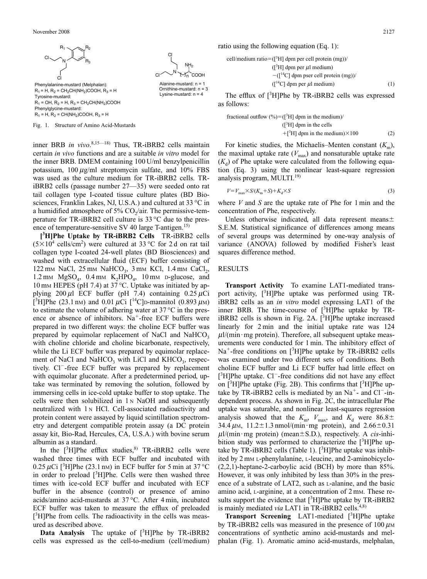

Fig. 1. Structure of Amino Acid-Mustards

inner BRB *in vivo*. 8,15—18) Thus, TR-iBRB2 cells maintain certain *in vivo* functions and are a suitable *in vitro* model for the inner BRB. DMEM containing 100 U/ml benzylpenicillin potassium,  $100 \mu g/ml$  streptomycin sulfate, and  $10\%$  FBS was used as the culture medium for TR-iBRB2 cells. TRiBRB2 cells (passage number 27—35) were seeded onto rat tail collagen type I-coated tissue culture plates (BD Biosciences, Franklin Lakes, NJ, U.S.A.) and cultured at 33 °C in a humidified atmosphere of  $5\%$  CO<sub>2</sub>/air. The permissive-temperature for TR-iBRB2 cell culture is 33 °C due to the presence of temperature-sensitive SV 40 large  $T$ -antigen.<sup>15)</sup>

**[ 3 H]Phe Uptake by TR-iBRB2 Cells** TR-iBRB2 cells  $(5\times10^4 \text{ cells/cm}^2)$  were cultured at 33 °C for 2d on rat tail collagen type I-coated 24-well plates (BD Biosciences) and washed with extracellular fluid (ECF) buffer consisting of 122 mm NaCl, 25 mm NaHCO<sub>3</sub>, 3 mm KCl, 1.4 mm CaCl<sub>2</sub>, 1.2 mm  $MgSO<sub>4</sub>$ , 0.4 mm  $K<sub>2</sub>HPO<sub>4</sub>$ , 10 mm p-glucose, and 10 mm HEPES (pH 7.4) at 37 °C. Uptake was initiated by applying  $200 \mu l$  ECF buffer (pH 7.4) containing  $0.25 \mu$ Ci [<sup>3</sup>H]Phe (23.1 nm) and 0.01  $\mu$ Ci [<sup>14</sup>C] p-mannitol (0.893  $\mu$ m) to estimate the volume of adhering water at  $37^{\circ}$ C in the presence or absence of inhibitors. Na<sup>+</sup>-free ECF buffers were prepared in two different ways: the choline ECF buffer was prepared by equimolar replacement of NaCl and NaHCO<sub>3</sub> with choline chloride and choline bicarbonate, respectively, while the Li ECF buffer was prepared by equimolar replacement of NaCl and NaHCO<sub>3</sub> with LiCl and KHCO<sub>3</sub>, respectively. Cl-free ECF buffer was prepared by replacement with equimolar gluconate. After a predetermined period, uptake was terminated by removing the solution, followed by immersing cells in ice-cold uptake buffer to stop uptake. The cells were then solubilized in  $1 \text{ N }$  NaOH and subsequently neutralized with 1 <sup>N</sup> HCl. Cell-associated radioactivity and protein content were assayed by liquid scintillation spectrometry and detergent compatible protein assay (a DC protein assay kit, Bio-Rad, Hercules, CA, U.S.A.) with bovine serum albumin as a standard.

In the  $[3H]$ Phe efflux studies, <sup>8)</sup> TR-iBRB2 cells were washed three times with ECF buffer and incubated with 0.25  $\mu$ Ci [<sup>3</sup>H]Phe (23.1 nM) in ECF buffer for 5 min at 37 °C in order to preload [3H]Phe. Cells were then washed three times with ice-cold ECF buffer and incubated with ECF buffer in the absence (control) or presence of amino acids/amino acid-mustards at 37 °C. After 4 min, incubated ECF buffer was taken to measure the efflux of preloaded [<sup>3</sup>H]Phe from cells. The radioactivity in the cells was measured as described above.

Data Analysis The uptake of [<sup>3</sup>H]Phe by TR-iBRB2 cells was expressed as the cell-to-medium (cell/medium)

`соон Alanine-mustard:  $n = 1$ 

Lysine-mustard:  $n = 4$ 

ratio using the following equation (Eq. 1):

$$
dium ratio = ([3H] dpm per cell protein (mg))/
$$
  
\n
$$
([3H] dpm per \mu l medium)
$$
  
\n
$$
-([14C] dpm pser cell protein (mg))/
$$
  
\n
$$
([14C] dpm per \mu l medium)
$$
 (1)

The efflux of [<sup>3</sup>H]Phe by TR-iBRB2 cells was expressed as follows:

fractional outflow  $(\%)=([{}^{3}H]$  dpm in the medium)/  $($ [ $^3$ H] dpm in the cells  $+[^{3}H]$  dpm in the medium) $\times$ 100 (2)

For kinetic studies, the Michaelis–Menten constant  $(K_m)$ , the maximal uptake rate  $(V_{\text{max}})$  and nonsaturable uptake rate  $(K_d)$  of Phe uptake were calculated from the following equation (Eq. 3) using the nonlinear least-square regression analysis program, MULTI. $^{19)}$ 

$$
V = V_{\text{max}} \times S/(K_{\text{m}} + S) + K_d \times S \tag{3}
$$

where *V* and *S* are the uptake rate of Phe for 1 min and the concentration of Phe, respectively.

Unless otherwise indicated, all data represent means $\pm$ S.E.M. Statistical significance of differences among means of several groups was determined by one-way analysis of variance (ANOVA) followed by modified Fisher's least squares difference method.

#### RESULTS

cell/me

**Transport Activity** To examine LAT1-mediated transport activity, [<sup>3</sup>H]Phe uptake was performed using TRiBRB2 cells as an *in vitro* model expressing LAT1 of the inner BRB. The time-course of  $[^3H]$ Phe uptake by TR $iBRB2$  cells is shown in Fig. 2A.  $[3H]$ Phe uptake increased linearly for 2 min and the initial uptake rate was 124  $\mu$ l/(min · mg protein). Therefore, all subsequent uptake measurements were conducted for 1 min. The inhibitory effect of  $Na^+$ -free conditions on [ $^3H$ ]Phe uptake by TR-iBRB2 cells was examined under two different sets of conditions. Both choline ECF buffer and Li ECF buffer had little effect on [<sup>3</sup>H]Phe uptake. Cl<sup>-</sup>-free conditions did not have any effect on  $[3H]$ Phe uptake (Fig. 2B). This confirms that  $[3H]$ Phe uptake by TR-iBRB2 cells is mediated by an  $Na<sup>+</sup>$  and  $Cl<sup>-</sup>$  independent process. As shown in Fig. 2C, the intracellular Phe uptake was saturable, and nonlinear least-squares regression analysis showed that the  $K_m$ ,  $V_{\text{max}}$ , and  $K_d$  were 86.8 $\pm$ 34.4  $\mu$ M, 11.2 $\pm$ 1.3 nmol/(min · mg protein), and 2.66 $\pm$ 0.31  $\mu$ l/(min · mg protein) (mean  $\pm$  S.D.), respectively. A *cis*-inhibition study was performed to characterize the [3H]Phe uptake by TR-iBRB2 cells (Table 1).  $[3H]$ Phe uptake was inhibited by 2 mM L-phenylalanine, L-leucine, and 2-aminobicyclo- (2,2,1)-heptane-2-carboylic acid (BCH) by more than 85%. However, it was only inhibited by less than 30% in the presence of a substrate of LAT2, such as L-alanine, and the basic amino acid, L-arginine, at a concentration of 2 mM. These results support the evidence that  $[^{3}H]$ Phe uptake by TR-iBRB2 is mainly mediated *via* LAT1 in TR-iBRB2 cells.<sup>4,8)</sup>

**Transport Screening** LAT1-mediated [3 H]Phe uptake by TR-iBRB2 cells was measured in the presence of  $100 \mu$ MM concentrations of synthetic amino acid-mustards and melphalan (Fig. 1). Aromatic amino acid-mustards, melphalan,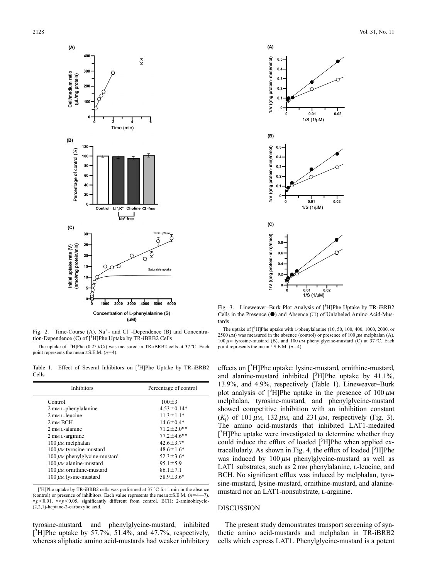

Fig. 2. Time-Course  $(A)$ ,  $Na^+$ - and  $Cl^-$ -Dependence  $(B)$  and Concentration-Dependence (C) of [<sup>3</sup>H]Phe Uptake by TR-iBRB2 Cells

The uptake of  $[^{3}H]P$ he (0.25  $\mu$ Ci) was measured in TR-iBRB2 cells at 37 °C. Each point represents the mean $\pm$ S.E.M. (*n*=4).

Table 1. Effect of Several Inhibitors on [<sup>3</sup>H]Phe Uptake by TR-iBRB2 Cells

| <b>Inhibitors</b>                            | Percentage of control |
|----------------------------------------------|-----------------------|
| Control                                      | $100 \pm 3$           |
| 2 mm L-phenylalanine                         | $4.53 \pm 0.14*$      |
| $2 \text{ mm}$ <i>r</i> -leucine             | $11.3 \pm 1.1*$       |
| $2 \text{ mm } BCH$                          | $14.6 \pm 0.4*$       |
| $2 \text{ mm}$ L-alanine                     | $71.2 \pm 2.0$ **     |
| 2 mm L-arginine                              | $77.2 \pm 4.6$ **     |
| $100 \mu$ <sub>M</sub> melphalan             | $42.6 \pm 3.7*$       |
| $100 \mu$ <sub>M</sub> tyrosine-mustard      | $48.6 \pm 1.6*$       |
| $100 \mu$ <sub>M</sub> phenylglycine-mustard | $52.3 \pm 3.6*$       |
| $100 \mu$ <sub>M</sub> alanine-mustard       | $95.1 \pm 5.9$        |
| 100 $\mu$ <sub>M</sub> ornithine-mustard     | $86.1 \pm 7.1$        |
| $100 \mu$ <sub>M</sub> lysine-mustard        | $58.9 \pm 3.6*$       |

[<sup>3</sup>H]Phe uptake by TR-iBRB2 cells was performed at 37 °C for 1 min in the absence (control) or presence of inhibitors. Each value represents the mean $\pm$ S.E.M. ( $n=4$ —7). ∗ *p*0.01, ∗∗ *p*0.05, significantly different from control. BCH: 2-aminobicyclo- (2,2,1)-heptane-2-carboxylic acid.

tyrosine-mustard, and phenylglycine-mustard, inhibited  $[3H]$ Phe uptake by 57.7%, 51.4%, and 47.7%, respectively, whereas aliphatic amino acid-mustards had weaker inhibitory



Fig. 3. Lineweaver-Burk Plot Analysis of [<sup>3</sup>H]Phe Uptake by TR-iBRB2 Cells in the Presence  $(\bullet)$  and Absence  $(\circ)$  of Unlabeled Amino Acid-Mustards

The uptake of  $[^{3}H]$ Phe uptake with L-phenylalanine (10, 50, 100, 400, 1000, 2000, or 2500  $\mu$ M) was measured in the absence (control) or presence of 100  $\mu$ M melphalan (A), 100  $\mu$ M tyrosine-mustard (B), and 100  $\mu$ M phenylglycine-mustard (C) at 37 °C. Each point represents the mean $\pm$ S.E.M. (*n*=4).

effects on [<sup>3</sup>H]Phe uptake: lysine-mustard, ornithine-mustard, and alanine-mustard inhibited  $[$ <sup>3</sup>H]Phe uptake by 41.1%, 13.9%, and 4.9%, respectively (Table 1). Lineweaver–Burk plot analysis of  $[3H]$ Phe uptake in the presence of 100  $\mu$ M melphalan, tyrosine-mustard, and phenylglycine-mustard showed competitive inhibition with an inhibition constant  $(K<sub>i</sub>)$  of 101  $\mu$ m, 132  $\mu$ m, and 231  $\mu$ m, respectively (Fig. 3). The amino acid-mustards that inhibited LAT1-medaited [<sup>3</sup>H]Phe uptake were investigated to determine whether they could induce the efflux of loaded  $[^{3}H]$ Phe when applied extracellularly. As shown in Fig. 4, the efflux of loaded [3H]Phe was induced by  $100 \mu$ M phenylglycine-mustard as well as LAT1 substrates, such as 2 mm phenylalanine, L-leucine, and BCH. No significant efflux was induced by melphalan, tyrosine-mustard, lysine-mustard, ornithine-mustard, and alaninemustard nor an LAT1-nonsubstrate, L-arginine.

# DISCUSSION

The present study demonstrates transport screening of synthetic amino acid-mustards and melphalan in TR-iBRB2 cells which express LAT1. Phenylglycine-mustard is a potent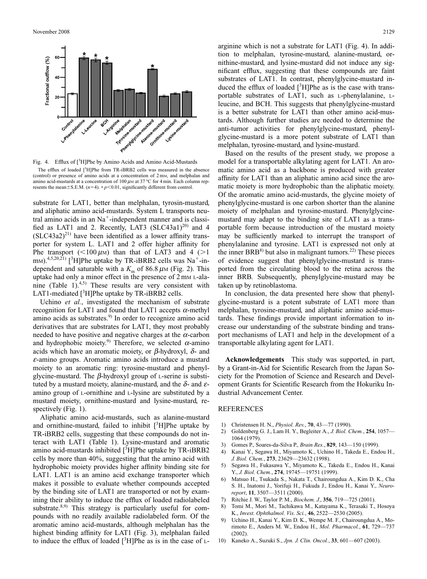





substrate for LAT1, better than melphalan, tyrosin-mustard, and aliphatic amino acid-mustards. System L transports neutral amino acids in an  $Na<sup>+</sup>$ -independent manner and is classified as LAT1 and 2. Recently, LAT3  $(SLC43a1)^{20}$  and 4  $(SLC43a2)^{21}$  have been identified as a lower affinity transporter for system L. LAT1 and 2 offer higher affinity for Phe transport ( $\lt$ 100  $\mu$ M) than that of LAT3 and 4 (>1) m<sub>M</sub>).<sup>4,5,20,21)</sup> [<sup>3</sup>H]Phe uptake by TR-iBRB2 cells was Na<sup>+</sup>-independent and saturable with a  $K<sub>m</sub>$  of 86.8  $\mu$ M (Fig. 2). This uptake had only a minor effect in the presence of  $2 \text{ mm L-ala-}$ nine (Table 1). $4,5$ ) These results are very consistent with LAT1-mediated  $[3H]$ Phe uptake by TR-iBRB2 cells.

Uchino *et al.*, investigated the mechanism of substrate recognition for LAT1 and found that LAT1 accepts  $\alpha$ -methyl amino acids as substrates. $9$  In order to recognize amino acid derivatives that are substrates for LAT1, they most probably needed to have positive and negative charges at the  $\alpha$ -carbon and hydrophobic moiety.<sup>9)</sup> Therefore, we selected  $\alpha$ -amino acids which have an aromatic moiety, or  $\beta$ -hydroxyl,  $\delta$ - and <sup>e</sup>-amino groups. Aromatic amino acids introduce a mustard moiety to an aromatic ring: tyrosine-mustard and phenylglycine-mustard. The  $\beta$ -hydroxyl group of L-serine is substituted by a mustard moiety, alanine-mustard, and the  $\delta$ - and  $\varepsilon$ amino group of L-ornithine and L-lysine are substituted by a mustard moiety, ornithine-mustard and lysine-mustard, respectively (Fig. 1).

Aliphatic amino acid-mustards, such as alanine-mustard and ornithine-mustard, failed to inhibit  $[^3H]$ Phe uptake by TR-iBRB2 cells, suggesting that these compounds do not interact with LAT1 (Table 1). Lysine-mustard and aromatic amino acid-mustards inhibited  $[$ <sup>3</sup>H]Phe uptake by TR-iBRB2 cells by more than 40%, suggesting that the amino acid with hydrophobic moiety provides higher affinity binding site for LAT1. LAT1 is an amino acid exchange transporter which makes it possible to evaluate whether compounds accepted by the binding site of LAT1 are transported or not by examining their ability to induce the efflux of loaded radiolabeled substrate.<sup>8,9)</sup> This strategy is particularly useful for compounds with no readily available radiolabeled form. Of the aromatic amino acid-mustards, although melphalan has the highest binding affinity for LAT1 (Fig. 3), melphalan failed to induce the efflux of loaded  $[{}^{3}H]$ Phe as is in the case of L-

arginine which is not a substrate for LAT1 (Fig. 4). In addition to melphalan, tyrosine-mustard, alanine-mustard, ornithine-mustard, and lysine-mustard did not induce any significant efflux, suggesting that these compounds are faint substrates of LAT1. In contrast, phenylglycine-mustard induced the efflux of loaded  $[3H]$ Phe as is the case with transportable substrates of LAT1, such as L-phenylalanine, Lleucine, and BCH. This suggests that phenylglycine-mustard is a better substrate for LAT1 than other amino acid-mustards. Although further studies are needed to determine the anti-tumor activities for phenylglycine-mustard, phenylglycine-mustard is a more potent substrate of LAT1 than melphalan, tyrosine-mustard, and lysine-mustard.

Based on the results of the present study, we propose a model for a transportable alkylating agent for LAT1. An aromatic amino acid as a backbone is produced with greater affinity for LAT1 than an aliphatic amino acid since the aromatic moiety is more hydrophobic than the aliphatic moiety. Of the aromatic amino acid-mustards, the glycine moiety of phenylglycine-mustard is one carbon shorter than the alanine moiety of melphalan and tyrosine-mustard. Phenylglycinemustard may adapt to the binding site of LAT1 as a transportable form because introduction of the mustard moiety may be sufficiently marked to interrupt the transport of phenylalanine and tyrosine. LAT1 is expressed not only at the inner  $BRB^{8}$  but also in malignant tumors.<sup>22)</sup> These pieces of evidence suggest that phenylglycine-mustard is transported from the circulating blood to the retina across the inner BRB. Subsequently, phenylglycine-mustard may be taken up by retinoblastoma.

In conclusion, the data presented here show that phenylglycine-mustard is a potent substrate of LAT1 more than melphalan, tyrosine-mustard, and aliphatic amino acid-mustards. These findings provide important information to increase our understanding of the substrate binding and transport mechanisms of LAT1 and help in the development of a transportable alkylating agent for LAT1.

**Acknowledgements** This study was supported, in part, by a Grant-in-Aid for Scientific Research from the Japan Society for the Promotion of Science and Research and Development Grants for Scientific Research from the Hokuriku Industrial Advancement Center.

## REFERENCES

- 1) Christensen H. N., *Physiol. Rev.*, **70**, 43—77 (1990).
- 2) Goldenberg G. J., Lam H. Y., Begleiter A., *J. Biol. Chem.*, **254**, 1057— 1064 (1979).
- 3) Gomes P., Soares-da-Silva P., *Brain Res.*, **829**, 143—150 (1999).
- 4) Kanai Y., Segawa H., Miyamoto K., Uchino H., Takeda E., Endou H., *J. Biol. Chem.*, **273**, 23629—23632 (1998).
- 5) Segawa H., Fukasawa Y., Miyamoto K., Takeda E., Endou H., Kanai Y., *J. Biol. Chem.*, **274**, 19745—19751 (1999).
- 6) Matsuo H., Tsukada S., Nakata T., Chairoungdua A., Kim D. K., Cha S. H., Inatomi J., Yorifuji H., Fukuda J., Endou H., Kanai Y., *Neuroreport*, **11**, 3507—3511 (2000).
- 7) Ritchie J. W., Taylor P. M., *Biochem. J.*, **356**, 719—725 (2001).
- 8) Tomi M., Mori M., Tachikawa M., Katayama K., Terasaki T., Hosoya K., *Invest. Ophthalmol. Vis. Sci.*, **46**, 2522—2530 (2005).
- 9) Uchino H., Kanai Y., Kim D. K., Wempe M. F., Chairoungdua A., Morimoto E., Anders M. W., Endou H., *Mol. Pharmacol.*, **61**, 729—737 (2002).
- 10) Kaneko A., Suzuki S., *Jpn. J. Clin. Oncol.*, **33**, 601—607 (2003).